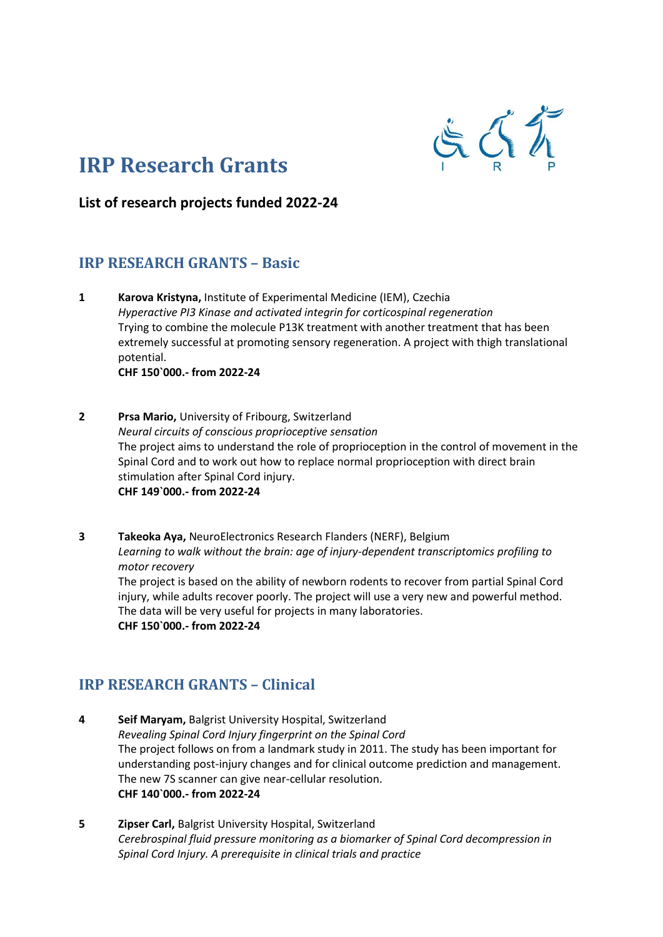

## **IRP Research Grants**

**List of research projects funded 2022-24**

## **IRP RESEARCH GRANTS – Basic**

- **1 Karova Kristyna,** Institute of Experimental Medicine (IEM), Czechia *Hyperactive PI3 Kinase and activated integrin for corticospinal regeneration* Trying to combine the molecule P13K treatment with another treatment that has been extremely successful at promoting sensory regeneration. A project with thigh translational potential. **CHF 150`000.- from 2022-24**
- **2 Prsa Mario,** University of Fribourg, Switzerland *Neural circuits of conscious proprioceptive sensation* The project aims to understand the role of proprioception in the control of movement in the Spinal Cord and to work out how to replace normal proprioception with direct brain stimulation after Spinal Cord injury. **CHF 149`000.- from 2022-24**
- **3 Takeoka Aya,** NeuroElectronics Research Flanders (NERF), Belgium *Learning to walk without the brain: age of injury-dependent transcriptomics profiling to motor recovery* The project is based on the ability of newborn rodents to recover from partial Spinal Cord injury, while adults recover poorly. The project will use a very new and powerful method. The data will be very useful for projects in many laboratories. **CHF 150`000.- from 2022-24**

## **IRP RESEARCH GRANTS – Clinical**

- **4 Seif Maryam,** Balgrist University Hospital, Switzerland *Revealing Spinal Cord Injury fingerprint on the Spinal Cord* The project follows on from a landmark study in 2011. The study has been important for understanding post-injury changes and for clinical outcome prediction and management. The new 7S scanner can give near-cellular resolution. **CHF 140`000.- from 2022-24**
- **5 Zipser Carl,** Balgrist University Hospital, Switzerland *Cerebrospinal fluid pressure monitoring as a biomarker of Spinal Cord decompression in Spinal Cord Injury. A prerequisite in clinical trials and practice*